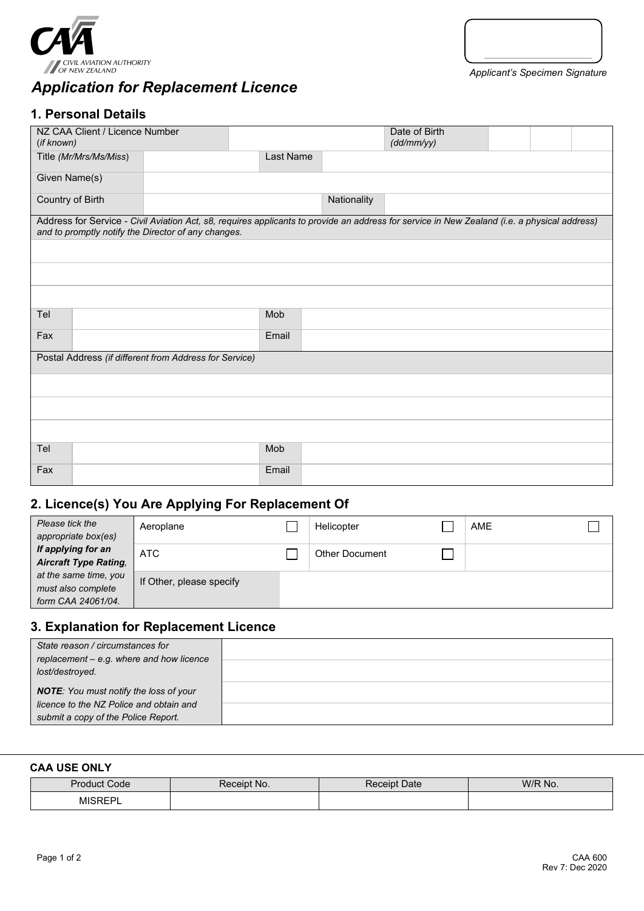

# *Application for Replacement Licence*

# **1. Personal Details**

| (if known)                                             | NZ CAA Client / Licence Number |                                                     |           |             | Date of Birth<br>(dd/mm/yy)                                                                                                                  |  |  |  |
|--------------------------------------------------------|--------------------------------|-----------------------------------------------------|-----------|-------------|----------------------------------------------------------------------------------------------------------------------------------------------|--|--|--|
|                                                        | Title (Mr/Mrs/Ms/Miss)         |                                                     | Last Name |             |                                                                                                                                              |  |  |  |
| Given Name(s)                                          |                                |                                                     |           |             |                                                                                                                                              |  |  |  |
| Country of Birth                                       |                                |                                                     |           | Nationality |                                                                                                                                              |  |  |  |
|                                                        |                                | and to promptly notify the Director of any changes. |           |             | Address for Service - Civil Aviation Act, s8, requires applicants to provide an address for service in New Zealand (i.e. a physical address) |  |  |  |
|                                                        |                                |                                                     |           |             |                                                                                                                                              |  |  |  |
|                                                        |                                |                                                     |           |             |                                                                                                                                              |  |  |  |
|                                                        |                                |                                                     |           |             |                                                                                                                                              |  |  |  |
| Tel                                                    |                                |                                                     | Mob       |             |                                                                                                                                              |  |  |  |
| Fax                                                    |                                |                                                     | Email     |             |                                                                                                                                              |  |  |  |
| Postal Address (if different from Address for Service) |                                |                                                     |           |             |                                                                                                                                              |  |  |  |
|                                                        |                                |                                                     |           |             |                                                                                                                                              |  |  |  |
|                                                        |                                |                                                     |           |             |                                                                                                                                              |  |  |  |
|                                                        |                                |                                                     |           |             |                                                                                                                                              |  |  |  |
| Tel                                                    |                                |                                                     | Mob       |             |                                                                                                                                              |  |  |  |
| Fax                                                    |                                |                                                     | Email     |             |                                                                                                                                              |  |  |  |

## **2. Licence(s) You Are Applying For Replacement Of**

| Please tick the<br>appropriate box(es)                            | Aeroplane                | Helicopter            | AME |  |
|-------------------------------------------------------------------|--------------------------|-----------------------|-----|--|
| If applying for an<br><b>Aircraft Type Rating,</b>                | ATC                      | <b>Other Document</b> |     |  |
| at the same time, you<br>must also complete<br>form CAA 24061/04. | If Other, please specify |                       |     |  |

# **3. Explanation for Replacement Licence**

| State reason / circumstances for<br>replacement - e.g. where and how licence<br>lost/destroyed.                                 |  |
|---------------------------------------------------------------------------------------------------------------------------------|--|
| <b>NOTE:</b> You must notify the loss of your<br>licence to the NZ Police and obtain and<br>submit a copy of the Police Report. |  |

#### **CAA USE ONLY**

| Dror<br>Code<br>.oque | No. | <b>Receipt Date</b> | W/R No. |
|-----------------------|-----|---------------------|---------|
| MIC.                  |     |                     |         |